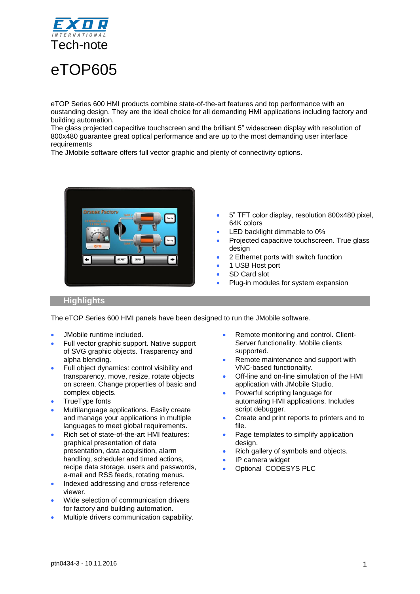

# eTOP605

eTOP Series 600 HMI products combine state-of-the-art features and top performance with an oustanding design. They are the ideal choice for all demanding HMI applications including factory and building automation.

The glass projected capacitive touchscreen and the brilliant 5" widescreen display with resolution of 800x480 guarantee great optical performance and are up to the most demanding user interface requirements

The JMobile software offers full vector graphic and plenty of connectivity options.



- 5" TFT color display, resolution 800x480 pixel, 64K colors
- LED backlight dimmable to 0%
- Projected capacitive touchscreen. True glass design
- 2 Ethernet ports with switch function
- 1 USB Host port
- SD Card slot
- Plug-in modules for system expansion

### **Highlights**

The eTOP Series 600 HMI panels have been designed to run the JMobile software.

- JMobile runtime included.
- Full vector graphic support. Native support of SVG graphic objects. Trasparency and alpha blending.
- Full object dynamics: control visibility and transparency, move, resize, rotate objects on screen. Change properties of basic and complex objects.
- TrueType fonts
- Multilanguage applications. Easily create and manage your applications in multiple languages to meet global requirements.
- Rich set of state-of-the-art HMI features: graphical presentation of data presentation, data acquisition, alarm handling, scheduler and timed actions, recipe data storage, users and passwords, e-mail and RSS feeds, rotating menus.
- Indexed addressing and cross-reference viewer.
- Wide selection of communication drivers for factory and building automation.
- Multiple drivers communication capability.
- Remote monitoring and control. Client-Server functionality. Mobile clients supported.
- Remote maintenance and support with VNC-based functionality.
- Off-line and on-line simulation of the HMI application with JMobile Studio.
- Powerful scripting language for automating HMI applications. Includes script debugger.
- Create and print reports to printers and to file.
- Page templates to simplify application design.
- Rich gallery of symbols and objects.
- IP camera widget
- Optional CODESYS PLC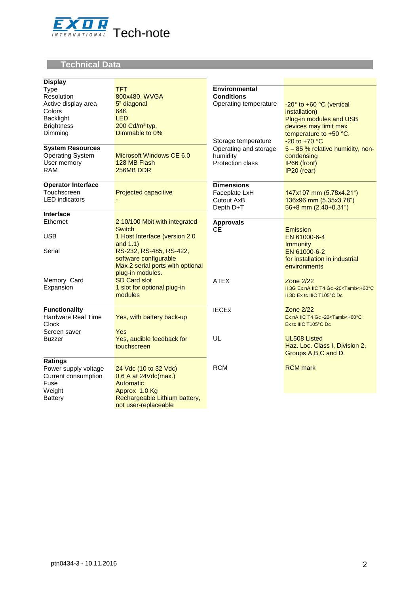

# **Technical Data**

| <b>Display</b>                                                                                                                     |                                                                                                                                      |                                                                                                                    |                                                                                                                                                                                  |
|------------------------------------------------------------------------------------------------------------------------------------|--------------------------------------------------------------------------------------------------------------------------------------|--------------------------------------------------------------------------------------------------------------------|----------------------------------------------------------------------------------------------------------------------------------------------------------------------------------|
| <b>Type</b><br>Resolution<br>Active display area<br>Colors<br>Backlight<br><b>Brightness</b><br>Dimming<br><b>System Resources</b> | <b>TFT</b><br>800x480, WVGA<br>5" diagonal<br>64K<br><b>LED</b><br>200 Cd/m <sup>2</sup> typ.<br>Dimmable to 0%                      | <b>Environmental</b><br><b>Conditions</b><br>Operating temperature<br>Storage temperature<br>Operating and storage | -20° to +60 °C (vertical<br>installation)<br>Plug-in modules and USB<br>devices may limit max<br>temperature to +50 °C.<br>$-20$ to $+70$ °C<br>5 - 85 % relative humidity, non- |
| <b>Operating System</b><br>User memory<br><b>RAM</b>                                                                               | Microsoft Windows CE 6.0<br>128 MB Flash<br>256MB DDR                                                                                | humidity<br>Protection class                                                                                       | condensing<br>IP66 (front)<br>IP20 (rear)                                                                                                                                        |
| <b>Operator Interface</b><br>Touchscreen<br><b>LED</b> indicators                                                                  | <b>Projected capacitive</b>                                                                                                          | <b>Dimensions</b><br>Faceplate LxH<br>Cutout AxB<br>Depth D+T                                                      | 147x107 mm (5.78x4.21")<br>136x96 mm (5.35x3.78")<br>$56+8$ mm $(2.40+0.31")$                                                                                                    |
| Interface                                                                                                                          |                                                                                                                                      |                                                                                                                    |                                                                                                                                                                                  |
| Ethernet<br><b>USB</b><br>Serial                                                                                                   | 2 10/100 Mbit with integrated<br><b>Switch</b><br>1 Host Interface (version 2.0<br>and $1.1$ )<br>RS-232, RS-485, RS-422,            | <b>Approvals</b><br><b>CE</b>                                                                                      | Emission<br>EN 61000-6-4<br><b>Immunity</b><br>EN 61000-6-2                                                                                                                      |
|                                                                                                                                    | software configurable<br>Max 2 serial ports with optional<br>plug-in modules.                                                        |                                                                                                                    | for installation in industrial<br>environments                                                                                                                                   |
| Memory Card<br>Expansion                                                                                                           | <b>SD Card slot</b><br>1 slot for optional plug-in<br>modules                                                                        | <b>ATEX</b>                                                                                                        | <b>Zone 2/22</b><br>II 3G Ex nA IIC T4 Gc -20 <tamb<+60°c<br>II 3D Ex to IIIC T105°C Do</tamb<+60°c<br>                                                                          |
| <b>Functionality</b><br>Hardware Real Time<br>Clock<br>Screen saver                                                                | Yes, with battery back-up<br>Yes                                                                                                     | <b>IECEx</b>                                                                                                       | <b>Zone 2/22</b><br>Ex nA IIC T4 Gc-20 <tamb<+60°c<br>Ex to IIIC T105°C Do</tamb<+60°c<br>                                                                                       |
| Buzzer                                                                                                                             | Yes, audible feedback for<br>touchscreen                                                                                             | UL                                                                                                                 | <b>UL508 Listed</b><br>Haz. Loc. Class I, Division 2,<br>Groups A, B, C and D.                                                                                                   |
| Ratings<br>Power supply voltage<br>Current consumption<br>Fuse<br>Weight<br><b>Battery</b>                                         | 24 Vdc (10 to 32 Vdc)<br>0.6 A at 24Vdc(max.)<br>Automatic<br>Approx 1.0 Kg<br>Rechargeable Lithium battery,<br>not user-replaceable | <b>RCM</b>                                                                                                         | <b>RCM</b> mark                                                                                                                                                                  |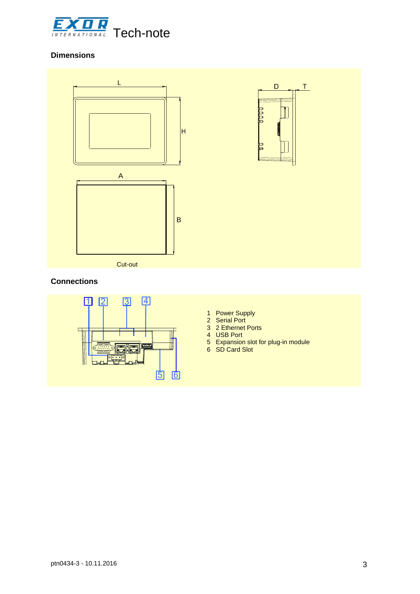

## **Dimensions**



### **Connections**



- 1 Power Supply
- 2 Serial Port
- 3 2 Ethernet Ports
- 4 USB Port
- 5 Expansion slot for plug-in module
- 6 SD Card Slot